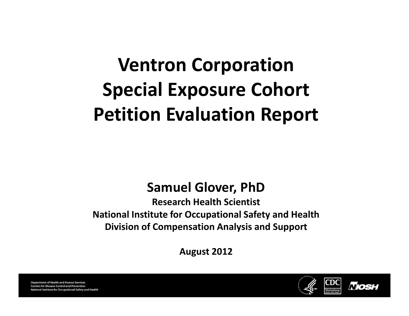# Ventron Corporation Special Exposure Cohort Petition Evaluation Report

#### Samuel Glover, PhD

Research Health ScientistNational Institute for Occupational Safety and Health Division of Compensation Analysis and Support

August 2012



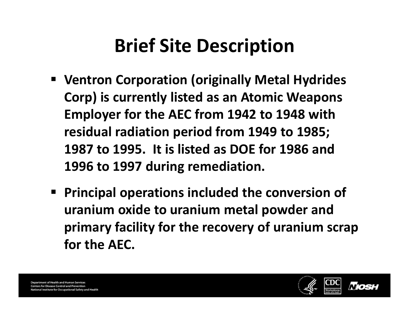## Brief Site Description

- Ventron Corporation (originally Metal Hydrides Corp) is currently listed as an Atomic Weapons Employer for the AEC from 1942 to 1948 with residual radiation period from 1949 to 1985; 1987 to 1995. It is listed as DOE for 1986 and 1996 to 1997 during remediation.
- Principal operations included the conversion of uranium oxide to uranium metal powder and primary facility for the recovery of uranium scrap for the AEC.

**Department of Health and Human Services Centers for Disease Control and Prevention** nal Institute for Occupational Safety and Health

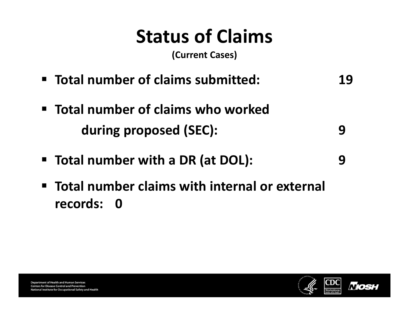# Status of Claims

(Current Cases)

- Total number of claims submitted: 19
- Total number of claims who worked during proposed (SEC): 9
- Total number with a DR (at DOL): 9
- Total number claims with internal or external records: 0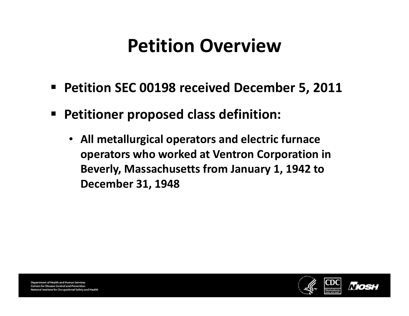### Petition Overview

- Petition SEC 00198 received December 5, 2011
- Petitioner proposed class definition:
	- All metallurgical operators and electric furnace operators who worked at Ventron Corporation in Beverly, Massachusetts from January 1, 1942 to December 31, 1948

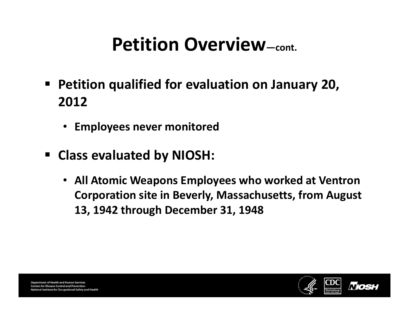## Petition Overview—cont.

- $\blacksquare$  Petition qualified for evaluation on January 20, 2012
	- Employees never monitored
- Class evaluated by NIOSH:
	- All Atomic Weapons Employees who worked at Ventron Corporation site in Beverly, Massachusetts, from August 13, 1942 through December 31, 1948

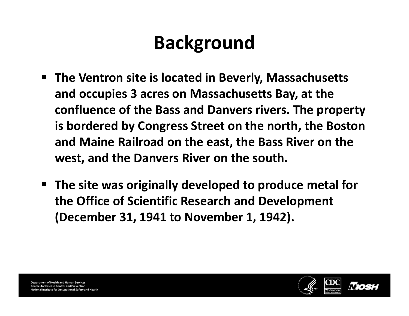# Background

- The Ventron site is located in Beverly, Massachusetts and occupies 3 acres on Massachusetts Bay, at the confluence of the Bass and Danvers rivers. The property is bordered by Congress Street on the north, the Boston and Maine Railroad on the east, the Bass River on the west, and the Danvers River on the south.
- The site was originally developed to produce metal for the Office of Scientific Research and Development (December 31, 1941 to November 1, 1942).

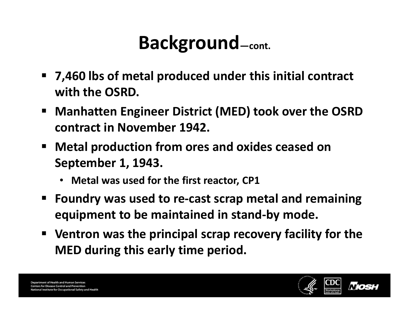- 7,460 lbs of metal produced under this initial contract with the OSRD.
- $\blacksquare$  Manhatten Engineer District (MED) took over the OSRD contract in November 1942.
- • Metal production from ores and oxides ceased on September 1, 1943.
	- Metal was used for the first reactor, CP1
- • Foundry was used to re-cast scrap metal and remaining equipment to be maintained in stand-by mode.
- Ventron was the principal scrap recovery facility for the MED during this early time period.

**Department of Health and Human Services Centers for Disease Control and Prevention** onal Institute for Occupational Safety and Health

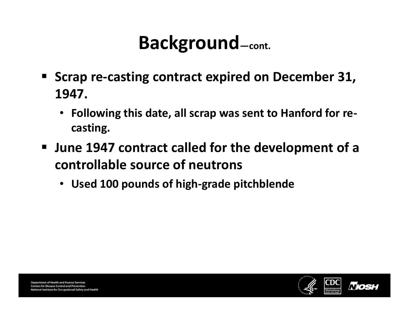- Scrap re-casting contract expired on December 31, 1947.
	- Following this date, all scrap was sent to Hanford for recasting.
- June 1947 contract called for the development of a controllable source of neutrons
	- Used 100 pounds of high-grade pitchblende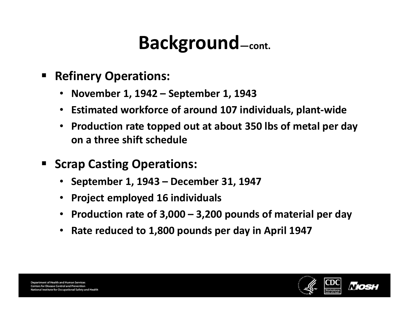- • Refinery Operations:
	- November 1, 1942 September 1, 1943
	- Estimated workforce of around 107 individuals, plant-wide
	- Production rate topped out at about 350 lbs of metal per day on a three shift schedule
- • Scrap Casting Operations:
	- September 1, 1943 December 31, 1947
	- Project employed 16 individuals
	- Production rate of 3,000 3,200 pounds of material per day
	- Rate reduced to 1,800 pounds per day in April 1947



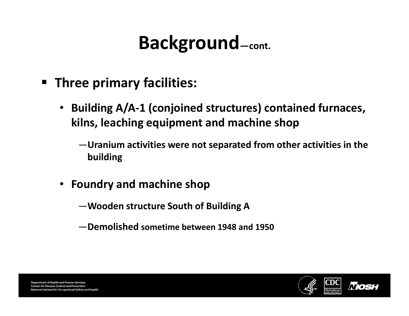- Three primary facilities:
	- Building A/A-1 (conjoined structures) contained furnaces, kilns, leaching equipment and machine shop
		- —Uranium activities were not separated from other activities in the building
	- Foundry and machine shop
		- —Wooden structure South of Building A
		- —Demolished sometime between 1948 and 1950

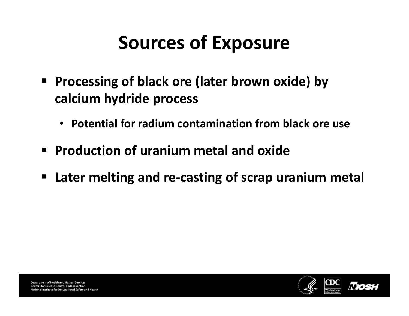# Sources of Exposure

- Processing of black ore (later brown oxide) by calcium hydride process
	- Potential for radium contamination from black ore use
- Production of uranium metal and oxide
- Later melting and re-casting of scrap uranium metal

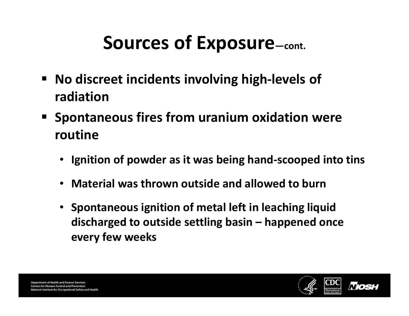## Sources of Exposure—cont.

- No discreet incidents involving high-levels of radiation
- Spontaneous fires from uranium oxidation were routine
	- Ignition of powder as it was being hand-scooped into tins
	- Material was thrown outside and allowed to burn
	- Spontaneous ignition of metal left in leaching liquid discharged to outside settling basin – happened once every few weeks

**Department of Health and Human Services Centers for Disease Control and Prevention** nal Institute for Occupational Safety and Health

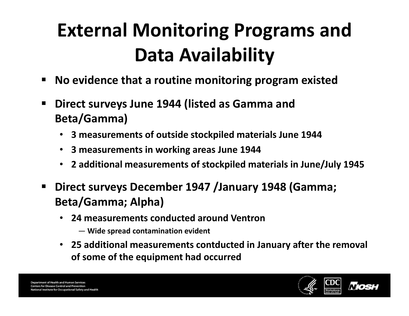# External Monitoring Programs and Data Availability

- •No evidence that a routine monitoring program existed
- • Direct surveys June 1944 (listed as Gamma and Beta/Gamma)
	- 3 measurements of outside stockpiled materials June 1944
	- 3 measurements in working areas June 1944
	- 2 additional measurements of stockpiled materials in June/July 1945
- • Direct surveys December 1947 /January 1948 (Gamma; Beta/Gamma; Alpha)
	- 24 measurements conducted around Ventron
		- Wide spread contamination evident
	- 25 additional measurements contducted in January after the removal of some of the equipment had occurred

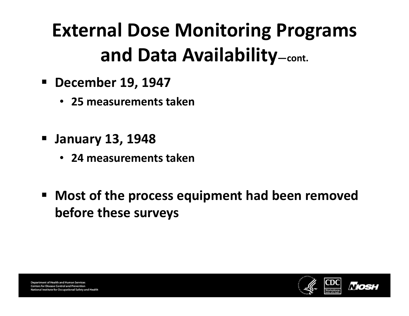# External Dose Monitoring Programs and Data Availability—cont.

- December 19, 1947
	- 25 measurements taken
- January 13, 1948
	- 24 measurements taken
- Most of the process equipment had been removed before these surveys

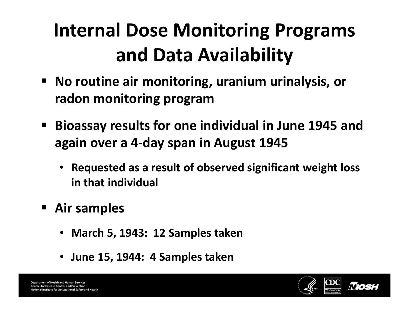# Internal Dose Monitoring Programs and Data Availability

- No routine air monitoring, uranium urinalysis, or radon monitoring program
- Bioassay results for one individual in June 1945 and again over a 4-day span in August 1945
	- Requested as a result of observed significant weight loss in that individual
- Air samples
	- March 5, 1943: 12 Samples taken
	- June 15, 1944: 4 Samples taken

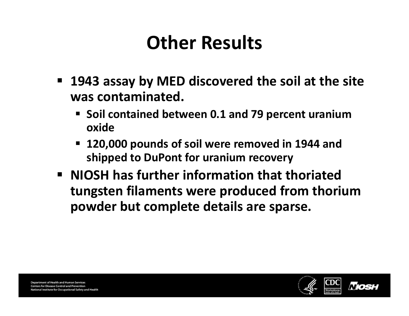## Other Results

- 1943 assay by MED discovered the soil at the site was contaminated.
	- • Soil contained between 0.1 and 79 percent uranium oxide
	- • 120,000 pounds of soil were removed in 1944 and shipped to DuPont for uranium recovery
- NIOSH has further information that thoriated tungsten filaments were produced from thorium powder but complete details are sparse.

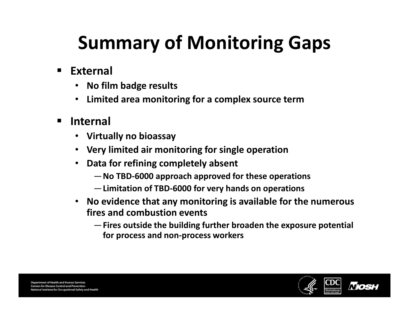# Summary of Monitoring Gaps

- External
	- $\bullet$ No film badge results
	- Limited area monitoring for a complex source term
- • Internal
	- •Virtually no bioassay
	- Very limited air monitoring for single operation
	- • Data for refining completely absent
		- —No TBD-6000 approach approved for these operations
		- —Limitation of TBD-6000 for very hands on operations
	- $\bullet$  No evidence that any monitoring is available for the numerous fires and combustion events
		- —Fires outside the building further broaden the exposure potential for process and non-process workers

**Department of Health and Human Services Centers for Disease Control and Prevention** National Institute for Occupational Safety and Health

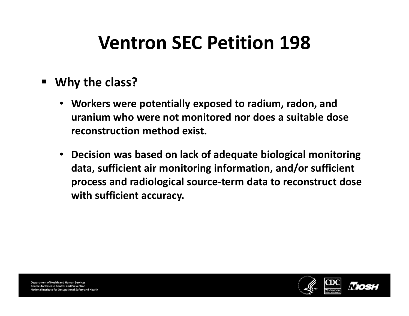## Ventron SEC Petition 198

#### • Why the class?

- Workers were potentially exposed to radium, radon, and uranium who were not monitored nor does a suitable dose reconstruction method exist.
- Decision was based on lack of adequate biological monitoring data, sufficient air monitoring information, and/or sufficient process and radiological source-term data to reconstruct dose with sufficient accuracy.



**Department of Health and Human Services Centers for Disease Control and Prevention** National Institute for Occupational Safety and Health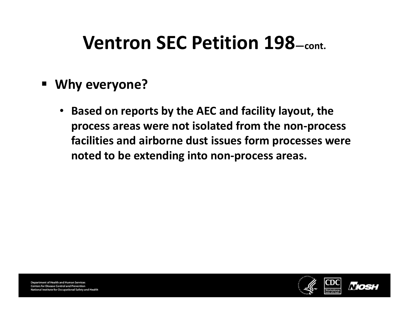#### Ventron SEC Petition 198—cont.

- Why everyone?
	- Based on reports by the AEC and facility layout, the process areas were not isolated from the non-process facilities and airborne dust issues form processes were noted to be extending into non-process areas.

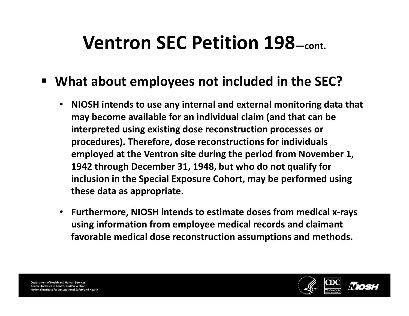### Ventron SEC Petition 198—cont.

#### • What about employees not included in the SEC?

- • NIOSH intends to use any internal and external monitoring data that may become available for an individual claim (and that can be interpreted using existing dose reconstruction processes or procedures). Therefore, dose reconstructions for individuals employed at the Ventron site during the period from November 1, 1942 through December 31, 1948, but who do not qualify for inclusion in the Special Exposure Cohort, may be performed using these data as appropriate.
- Furthermore, NIOSH intends to estimate doses from medical x-rays using information from employee medical records and claimant favorable medical dose reconstruction assumptions and methods.

**Department of Health and Human Services Centers for Disease Control and Prevention** National Institute for Occupational Safety and Health

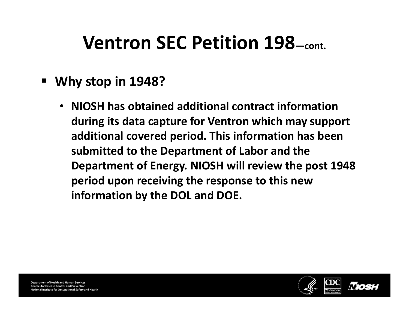### Ventron SEC Petition 198—cont.

- Why stop in 1948?
	- NIOSH has obtained additional contract information during its data capture for Ventron which may support additional covered period. This information has been submitted to the Department of Labor and the Department of Energy. NIOSH will review the post 1948 period upon receiving the response to this new information by the DOL and DOE.

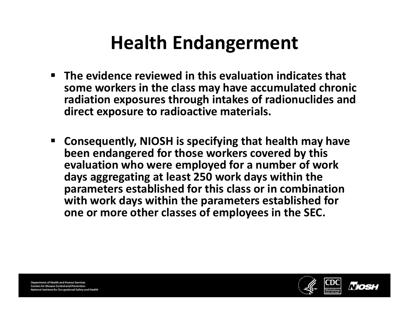## Health Endangerment

- $\blacksquare$  The evidence reviewed in this evaluation indicates that some workers in the class may have accumulated chronic radiation exposures through intakes of radionuclides and direct exposure to radioactive materials.
- Consequently, NIOSH is specifying that health may have been endangered for those workers covered by this evaluation who were employed for a number of work days aggregating at least 250 work days within the parameters established for this class or in combination with work days within the parameters established for one or more other classes of employees in the SEC.

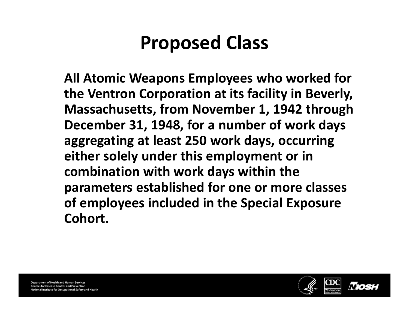### Proposed Class

All Atomic Weapons Employees who worked for the Ventron Corporation at its facility in Beverly, Massachusetts, from November 1, 1942 through December 31, 1948, for a number of work days aggregating at least 250 work days, occurring either solely under this employment or in combination with work days within the parameters established for one or more classes of employees included in the Special Exposure Cohort.